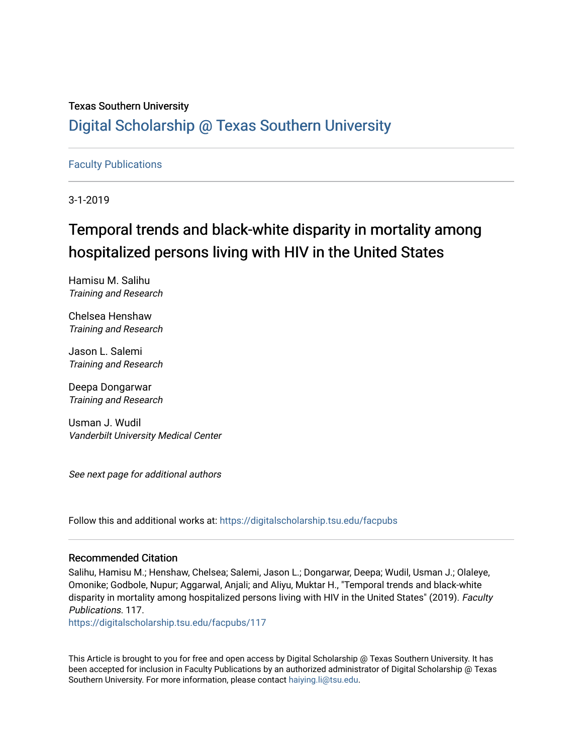## Texas Southern University [Digital Scholarship @ Texas Southern University](https://digitalscholarship.tsu.edu/)

## [Faculty Publications](https://digitalscholarship.tsu.edu/facpubs)

3-1-2019

## Temporal trends and black-white disparity in mortality among hospitalized persons living with HIV in the United States

Hamisu M. Salihu Training and Research

Chelsea Henshaw Training and Research

Jason L. Salemi Training and Research

Deepa Dongarwar Training and Research

Usman J. Wudil Vanderbilt University Medical Center

See next page for additional authors

Follow this and additional works at: [https://digitalscholarship.tsu.edu/facpubs](https://digitalscholarship.tsu.edu/facpubs?utm_source=digitalscholarship.tsu.edu%2Ffacpubs%2F117&utm_medium=PDF&utm_campaign=PDFCoverPages) 

### Recommended Citation

Salihu, Hamisu M.; Henshaw, Chelsea; Salemi, Jason L.; Dongarwar, Deepa; Wudil, Usman J.; Olaleye, Omonike; Godbole, Nupur; Aggarwal, Anjali; and Aliyu, Muktar H., "Temporal trends and black-white disparity in mortality among hospitalized persons living with HIV in the United States" (2019). Faculty Publications. 117.

[https://digitalscholarship.tsu.edu/facpubs/117](https://digitalscholarship.tsu.edu/facpubs/117?utm_source=digitalscholarship.tsu.edu%2Ffacpubs%2F117&utm_medium=PDF&utm_campaign=PDFCoverPages) 

This Article is brought to you for free and open access by Digital Scholarship @ Texas Southern University. It has been accepted for inclusion in Faculty Publications by an authorized administrator of Digital Scholarship @ Texas Southern University. For more information, please contact [haiying.li@tsu.edu](mailto:haiying.li@tsu.edu).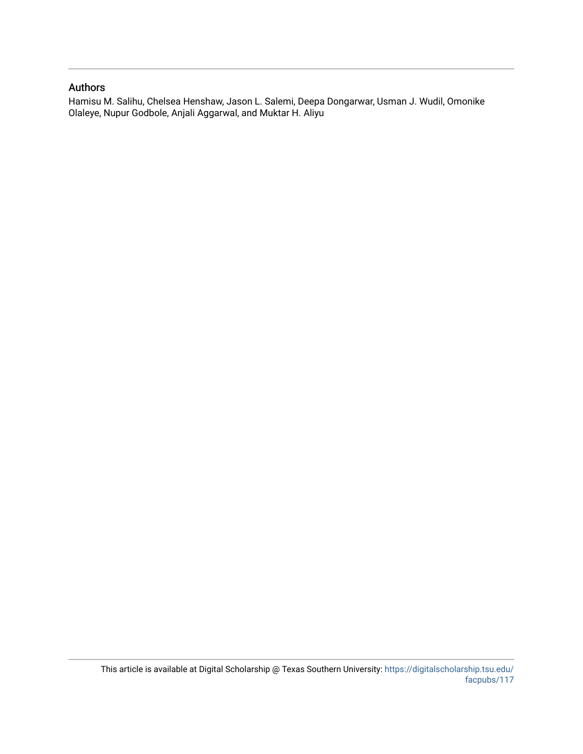## Authors

Hamisu M. Salihu, Chelsea Henshaw, Jason L. Salemi, Deepa Dongarwar, Usman J. Wudil, Omonike Olaleye, Nupur Godbole, Anjali Aggarwal, and Muktar H. Aliyu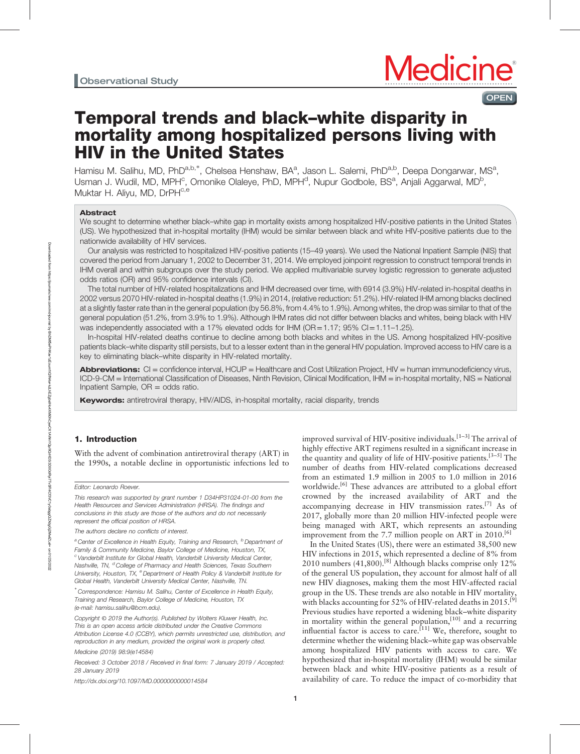## **OPEN**

# Temporal trends and black–white disparity in mortality among hospitalized persons living with HIV in the United States

Hamisu M. Salihu, MD, PhD<sup>a,b,\*</sup>, Chelsea Henshaw, BA<sup>a</sup>, Jason L. Salemi, PhD<sup>a,b</sup>, Deepa Dongarwar, MS<sup>a</sup>, Usman J. Wudil, MD, MPH<sup>c</sup>, Omonike Olaleye, PhD, MPH<sup>d</sup>, Nupur Godbole, BS<sup>a</sup>, Anjali Aggarwal, MD<sup>b</sup>, Muktar H. Aliyu, MD, DrPH<sup>c,e</sup>

#### Abstract

We sought to determine whether black–white gap in mortality exists among hospitalized HIV-positive patients in the United States (US). We hypothesized that in-hospital mortality (IHM) would be similar between black and white HIV-positive patients due to the nationwide availability of HIV services.

Our analysis was restricted to hospitalized HIV-positive patients (15–49 years). We used the National Inpatient Sample (NIS) that covered the period from January 1, 2002 to December 31, 2014. We employed joinpoint regression to construct temporal trends in IHM overall and within subgroups over the study period. We applied multivariable survey logistic regression to generate adjusted odds ratios (OR) and 95% confidence intervals (CI).

The total number of HIV-related hospitalizations and IHM decreased over time, with 6914 (3.9%) HIV-related in-hospital deaths in 2002 versus 2070 HIV-related in-hospital deaths (1.9%) in 2014, (relative reduction: 51.2%). HIV-related IHM among blacks declined at a slightly faster rate than in the general population (by 56.8%, from 4.4% to 1.9%). Among whites, the drop was similar to that of the general population (51.2%, from 3.9% to 1.9%). Although IHM rates did not differ between blacks and whites, being black with HIV was independently associated with a 17% elevated odds for IHM ( $OR = 1.17$ ; 95% CI $= 1.11 - 1.25$ ).

In-hospital HIV-related deaths continue to decline among both blacks and whites in the US. Among hospitalized HIV-positive patients black–white disparity still persists, but to a lesser extent than in the general HIV population. Improved access to HIV care is a key to eliminating black–white disparity in HIV-related mortality.

Abbreviations: CI = confidence interval, HCUP = Healthcare and Cost Utilization Project, HIV = human immunodeficiency virus, ICD-9-CM = International Classification of Diseases, Ninth Revision, Clinical Modification, IHM = in-hospital mortality, NIS = National Inpatient Sample, OR = odds ratio.

Keywords: antiretroviral therapy, HIV/AIDS, in-hospital mortality, racial disparity, trends

### 1. Introduction

With the advent of combination antiretroviral therapy (ART) in the 1990s, a notable decline in opportunistic infections led to

Editor: Leonardo Roever.

This research was supported by grant number 1 D34HP31024-01-00 from the Health Resources and Services Administration (HRSA). The findings and conclusions in this study are those of the authors and do not necessarily represent the official position of HRSA.

The authors declare no conflicts of interest.

<sup>a</sup> Center of Excellence in Health Equity, Training and Research, <sup>b</sup> Department of Family & Community Medicine, Baylor College of Medicine, Houston, TX, <sup>c</sup> Vanderbilt Institute for Global Health, Vanderbilt University Medical Center, Nashville, TN, <sup>d</sup>College of Pharmacy and Health Sciences, Texas Southern University, Houston, TX, <sup>e</sup> Department of Health Policy & Vanderbilt Institute for Global Health, Vanderbilt University Medical Center, Nashville, TN.

∗ Correspondence: Hamisu M. Salihu, Center of Excellence in Health Equity, Training and Research, Baylor College of Medicine, Houston, TX (e-mail: [hamisu.salihu@bcm.edu\)](mailto:hamisu.salihu@bcm.edu).

Copyright © 2019 the Author(s). Published by Wolters Kluwer Health, Inc. This is an open access article distributed under the [Creative Commons](http://creativecommons.org/licenses/by/4.0) [Attribution License 4.0](http://creativecommons.org/licenses/by/4.0) (CCBY), which permits unrestricted use, distribution, and reproduction in any medium, provided the original work is properly cited.

Medicine (2019) 98:9(e14584)

Received: 3 October 2018 / Received in final form: 7 January 2019 / Accepted: 28 January 2019

<http://dx.doi.org/10.1097/MD.0000000000014584>

improved survival of HIV-positive individuals.<sup>[1–3]</sup> The arrival of highly effective ART regimens resulted in a significant increase in the quantity and quality of life of HIV-positive patients.<sup>[3-5]</sup> The number of deaths from HIV-related complications decreased from an estimated 1.9 million in 2005 to 1.0 million in 2016 worldwide.<sup>[6]</sup> These advances are attributed to a global effort crowned by the increased availability of ART and the accompanying decrease in HIV transmission rates.<sup>[7]</sup> As of 2017, globally more than 20 million HIV-infected people were being managed with ART, which represents an astounding improvement from the 7.7 million people on ART in  $2010$ .<sup>[6]</sup>

In the United States (US), there were an estimated 38,500 new HIV infections in 2015, which represented a decline of 8% from 2010 numbers  $(41,800)$ .<sup>[8]</sup> Although blacks comprise only  $12\%$ of the general US population, they account for almost half of all new HIV diagnoses, making them the most HIV-affected racial group in the US. These trends are also notable in HIV mortality, with blacks accounting for 52% of HIV-related deaths in 2015.<sup>[9]</sup> Previous studies have reported a widening black–white disparity in mortality within the general population,<sup>[10]</sup> and a recurring influential factor is access to care.<sup>[11]</sup> We, therefore, sought to determine whether the widening black–white gap was observable among hospitalized HIV patients with access to care. We hypothesized that in-hospital mortality (IHM) would be similar between black and white HIV-positive patients as a result of availability of care. To reduce the impact of co-morbidity that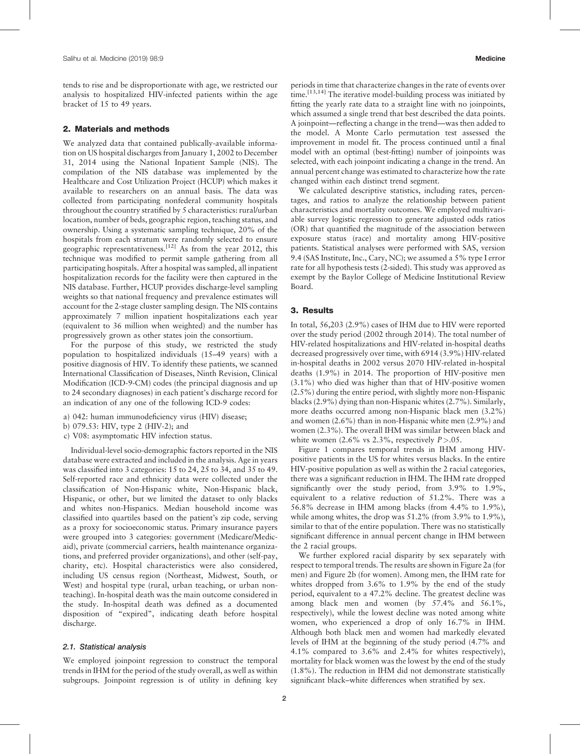tends to rise and be disproportionate with age, we restricted our analysis to hospitalized HIV-infected patients within the age bracket of 15 to 49 years.

#### 2. Materials and methods

We analyzed data that contained publically-available information on US hospital discharges from January 1, 2002 to December 31, 2014 using the National Inpatient Sample (NIS). The compilation of the NIS database was implemented by the Healthcare and Cost Utilization Project (HCUP) which makes it available to researchers on an annual basis. The data was collected from participating nonfederal community hospitals throughout the country stratified by 5 characteristics: rural/urban location, number of beds, geographic region, teaching status, and ownership. Using a systematic sampling technique, 20% of the hospitals from each stratum were randomly selected to ensure geographic representativeness.<sup>[12]</sup> As from the year 2012, this technique was modified to permit sample gathering from all participating hospitals. After a hospital was sampled, all inpatient hospitalization records for the facility were then captured in the NIS database. Further, HCUP provides discharge-level sampling weights so that national frequency and prevalence estimates will account for the 2-stage cluster sampling design. The NIS contains approximately 7 million inpatient hospitalizations each year (equivalent to 36 million when weighted) and the number has progressively grown as other states join the consortium.

For the purpose of this study, we restricted the study population to hospitalized individuals (15–49 years) with a positive diagnosis of HIV. To identify these patients, we scanned International Classification of Diseases, Ninth Revision, Clinical Modification (ICD-9-CM) codes (the principal diagnosis and up to 24 secondary diagnoses) in each patient's discharge record for an indication of any one of the following ICD-9 codes:

- a) 042: human immunodeficiency virus (HIV) disease;
- b) 079.53: HIV, type 2 (HIV-2); and
- c) V08: asymptomatic HIV infection status.

Individual-level socio-demographic factors reported in the NIS database were extracted and included in the analysis. Age in years was classified into 3 categories: 15 to 24, 25 to 34, and 35 to 49. Self-reported race and ethnicity data were collected under the classification of Non-Hispanic white, Non-Hispanic black, Hispanic, or other, but we limited the dataset to only blacks and whites non-Hispanics. Median household income was classified into quartiles based on the patient's zip code, serving as a proxy for socioeconomic status. Primary insurance payers were grouped into 3 categories: government (Medicare/Medicaid), private (commercial carriers, health maintenance organizations, and preferred provider organizations), and other (self-pay, charity, etc). Hospital characteristics were also considered, including US census region (Northeast, Midwest, South, or West) and hospital type (rural, urban teaching, or urban nonteaching). In-hospital death was the main outcome considered in the study. In-hospital death was defined as a documented disposition of "expired", indicating death before hospital discharge.

#### 2.1. Statistical analysis

We employed joinpoint regression to construct the temporal trends in IHM for the period of the study overall, as well as within subgroups. Joinpoint regression is of utility in defining key periods in time that characterize changes in the rate of events over time.<sup>[13,14]</sup> The iterative model-building process was initiated by fitting the yearly rate data to a straight line with no joinpoints, which assumed a single trend that best described the data points. A joinpoint—reflecting a change in the trend—was then added to the model. A Monte Carlo permutation test assessed the improvement in model fit. The process continued until a final model with an optimal (best-fitting) number of joinpoints was selected, with each joinpoint indicating a change in the trend. An annual percent change was estimated to characterize how the rate changed within each distinct trend segment.

We calculated descriptive statistics, including rates, percentages, and ratios to analyze the relationship between patient characteristics and mortality outcomes. We employed multivariable survey logistic regression to generate adjusted odds ratios (OR) that quantified the magnitude of the association between exposure status (race) and mortality among HIV-positive patients. Statistical analyses were performed with SAS, version 9.4 (SAS Institute, Inc., Cary, NC); we assumed a 5% type I error rate for all hypothesis tests (2-sided). This study was approved as exempt by the Baylor College of Medicine Institutional Review Board.

#### 3. Results

In total, 56,203 (2.9%) cases of IHM due to HIV were reported over the study period (2002 through 2014). The total number of HIV-related hospitalizations and HIV-related in-hospital deaths decreased progressively over time, with 6914 (3.9%) HIV-related in-hospital deaths in 2002 versus 2070 HIV-related in-hospital deaths (1.9%) in 2014. The proportion of HIV-positive men (3.1%) who died was higher than that of HIV-positive women (2.5%) during the entire period, with slightly more non-Hispanic blacks (2.9%) dying than non-Hispanic whites (2.7%). Similarly, more deaths occurred among non-Hispanic black men (3.2%) and women (2.6%) than in non-Hispanic white men (2.9%) and women (2.3%). The overall IHM was similar between black and white women  $(2.6\% \text{ vs } 2.3\%, \text{ respectively } P > .05.$ 

Figure 1 compares temporal trends in IHM among HIVpositive patients in the US for whites versus blacks. In the entire HIV-positive population as well as within the 2 racial categories, there was a significant reduction in IHM. The IHM rate dropped significantly over the study period, from 3.9% to 1.9%, equivalent to a relative reduction of 51.2%. There was a 56.8% decrease in IHM among blacks (from 4.4% to 1.9%), while among whites, the drop was 51.2% (from 3.9% to 1.9%), similar to that of the entire population. There was no statistically significant difference in annual percent change in IHM between the 2 racial groups.

We further explored racial disparity by sex separately with respect to temporal trends. The results are shown in Figure 2a (for men) and Figure 2b (for women). Among men, the IHM rate for whites dropped from 3.6% to 1.9% by the end of the study period, equivalent to a 47.2% decline. The greatest decline was among black men and women (by 57.4% and 56.1%, respectively), while the lowest decline was noted among white women, who experienced a drop of only 16.7% in IHM. Although both black men and women had markedly elevated levels of IHM at the beginning of the study period (4.7% and 4.1% compared to 3.6% and 2.4% for whites respectively), mortality for black women was the lowest by the end of the study (1.8%). The reduction in IHM did not demonstrate statistically significant black–white differences when stratified by sex.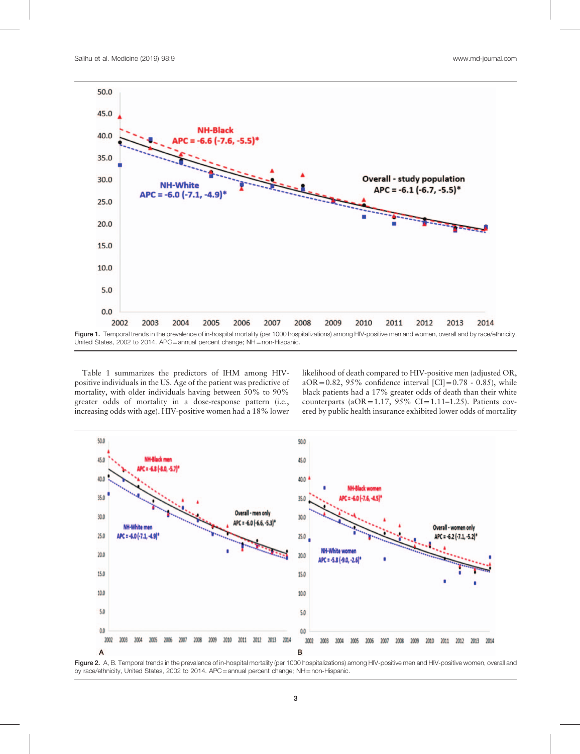

Table 1 summarizes the predictors of IHM among HIVpositive individuals in the US. Age of the patient was predictive of mortality, with older individuals having between 50% to 90% greater odds of mortality in a dose-response pattern (i.e., increasing odds with age). HIV-positive women had a 18% lower

likelihood of death compared to HIV-positive men (adjusted OR, aOR=0.82, 95% confidence interval [CI]=0.78 - 0.85), while black patients had a 17% greater odds of death than their white counterparts ( $aOR = 1.17$ ,  $95\%$  CI=1.11–1.25). Patients covered by public health insurance exhibited lower odds of mortality



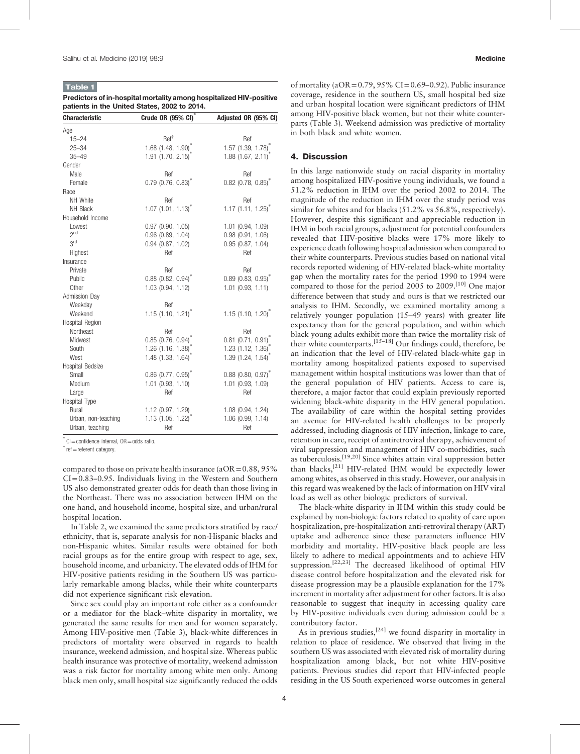#### Table 1

Predictors of in-hospital mortality among hospitalized HIV-positive patients in the United States, 2002 to 2014.

| <b>Characteristic</b> | Crude OR (95% CI) <sup>*</sup>   | Adjusted OR (95% CI)             |
|-----------------------|----------------------------------|----------------------------------|
| Age                   |                                  |                                  |
| $15 - 24$             | Ref <sup>†</sup>                 | Ref                              |
| $25 - 34$             | 1.68 $(1.48, 1.90)^{*}$          | 1.57 $(1.39, 1.78)$              |
| $35 - 49$             | $1.91$ (1.70, 2.15) <sup>2</sup> | $1.88$ $(1.67, 2.11)$            |
| Gender                |                                  |                                  |
| Male                  | Ref                              | Ref                              |
| Female                | $0.79$ (0.76, 0.83) <sup>*</sup> | $0.82$ (0.78, 0.85) <sup>*</sup> |
| Race                  |                                  |                                  |
| NH White              | Ref                              | Ref                              |
| NH Black              | $1.07$ (1.01, 1.13) <sup>*</sup> | $1.17$ (1.11, 1.25) <sup>*</sup> |
| Household Income      |                                  |                                  |
| Lowest                | $0.97$ $(0.90, 1.05)$            | $1.01$ $(0.94, 1.09)$            |
| 2 <sup>nd</sup>       | $0.96$ $(0.89, 1.04)$            | $0.98$ $(0.91, 1.06)$            |
| 3 <sup>rd</sup>       | $0.94$ $(0.87, 1.02)$            | $0.95$ $(0.87, 1.04)$            |
| Highest               | Ref                              | Ref                              |
| Insurance             |                                  |                                  |
| Private               | Ref                              | Ref                              |
| Public                | $0.88$ (0.82, 0.94) <sup>*</sup> | $0.89$ (0.83, 0.95) <sup>*</sup> |
| Other                 | 1.03 (0.94, 1.12)                | $1.01$ $(0.93, 1.11)$            |
| Admission Day         |                                  |                                  |
| Weekday               | Ref                              |                                  |
| Weekend               | $1.15$ (1.10, 1.21) <sup>*</sup> | 1.15(1.10, 1.20)                 |
| Hospital Region       |                                  |                                  |
| Northeast             | Ref                              | Ref                              |
| Midwest               | $0.85$ (0.76, 0.94) <sup>*</sup> | $0.81$ (0.71, 0.91) <sup>*</sup> |
| South                 | 1.26 (1.16, 1.38)                | $1.23$ (1.12, 1.36) <sup>*</sup> |
| West                  | $1.48$ (1.33, 1.64)              | 1.39(1.24, 1.54)                 |
| Hospital Bedsize      |                                  |                                  |
| Small                 | $0.86$ (0.77, 0.95) <sup>*</sup> | $0.88$ (0.80, 0.97) <sup>*</sup> |
| Medium                | 1.01 (0.93, 1.10)                | 1.01 (0.93, 1.09)                |
| Large                 | Ref                              | Ref                              |
| Hospital Type         |                                  |                                  |
| Rural                 | 1.12 (0.97, 1.29)                | $1.08$ $(0.94, 1.24)$            |
| Urban, non-teaching   | $1.13$ (1.05, 1.22)              | 1.06 (0.99, 1.14)                |
| Urban, teaching       | Ref                              | Ref                              |

∗ CI=confidence interval, OR=odds ratio.

 $\dagger$  ref = referent category.

compared to those on private health insurance ( $aOR = 0.88$ ,  $95\%$ ) CI=0.83–0.95. Individuals living in the Western and Southern US also demonstrated greater odds for death than those living in the Northeast. There was no association between IHM on the one hand, and household income, hospital size, and urban/rural hospital location.

In Table 2, we examined the same predictors stratified by race/ ethnicity, that is, separate analysis for non-Hispanic blacks and non-Hispanic whites. Similar results were obtained for both racial groups as for the entire group with respect to age, sex, household income, and urbanicity. The elevated odds of IHM for HIV-positive patients residing in the Southern US was particularly remarkable among blacks, while their white counterparts did not experience significant risk elevation.

Since sex could play an important role either as a confounder or a mediator for the black–white disparity in mortality, we generated the same results for men and for women separately. Among HIV-positive men (Table 3), black-white differences in predictors of mortality were observed in regards to health insurance, weekend admission, and hospital size. Whereas public health insurance was protective of mortality, weekend admission was a risk factor for mortality among white men only. Among black men only, small hospital size significantly reduced the odds of mortality ( $aOR = 0.79$ ,  $95\% CI = 0.69 - 0.92$ ). Public insurance coverage, residence in the southern US, small hospital bed size and urban hospital location were significant predictors of IHM among HIV-positive black women, but not their white counterparts (Table 3). Weekend admission was predictive of mortality in both black and white women.

#### 4. Discussion

In this large nationwide study on racial disparity in mortality among hospitalized HIV-positive young individuals, we found a 51.2% reduction in IHM over the period 2002 to 2014. The magnitude of the reduction in IHM over the study period was similar for whites and for blacks (51.2% vs 56.8%, respectively). However, despite this significant and appreciable reduction in IHM in both racial groups, adjustment for potential confounders revealed that HIV-positive blacks were 17% more likely to experience death following hospital admission when compared to their white counterparts. Previous studies based on national vital records reported widening of HIV-related black-white mortality gap when the mortality rates for the period 1990 to 1994 were compared to those for the period 2005 to 2009.<sup>[10]</sup> One major difference between that study and ours is that we restricted our analysis to IHM. Secondly, we examined mortality among a relatively younger population (15–49 years) with greater life expectancy than for the general population, and within which black young adults exhibit more than twice the mortality risk of their white counterparts.[15–18] Our findings could, therefore, be an indication that the level of HIV-related black-white gap in mortality among hospitalized patients exposed to supervised management within hospital institutions was lower than that of the general population of HIV patients. Access to care is, therefore, a major factor that could explain previously reported widening black-white disparity in the HIV general population. The availability of care within the hospital setting provides an avenue for HIV-related health challenges to be properly addressed, including diagnosis of HIV infection, linkage to care, retention in care, receipt of antiretroviral therapy, achievement of viral suppression and management of HIV co-morbidities, such as tuberculosis.[19,20] Since whites attain viral suppression better than blacks,<sup>[21]</sup> HIV-related IHM would be expectedly lower among whites, as observed in this study. However, our analysis in this regard was weakened by the lack of information on HIV viral load as well as other biologic predictors of survival.

The black-white disparity in IHM within this study could be explained by non-biologic factors related to quality of care upon hospitalization, pre-hospitalization anti-retroviral therapy (ART) uptake and adherence since these parameters influence HIV morbidity and mortality. HIV-positive black people are less likely to adhere to medical appointments and to achieve HIV suppression.<sup>[22,23]</sup> The decreased likelihood of optimal HIV disease control before hospitalization and the elevated risk for disease progression may be a plausible explanation for the 17% increment in mortality after adjustment for other factors. It is also reasonable to suggest that inequity in accessing quality care by HIV-positive individuals even during admission could be a contributory factor.

As in previous studies,  $[24]$  we found disparity in mortality in relation to place of residence. We observed that living in the southern US was associated with elevated risk of mortality during hospitalization among black, but not white HIV-positive patients. Previous studies did report that HIV-infected people residing in the US South experienced worse outcomes in general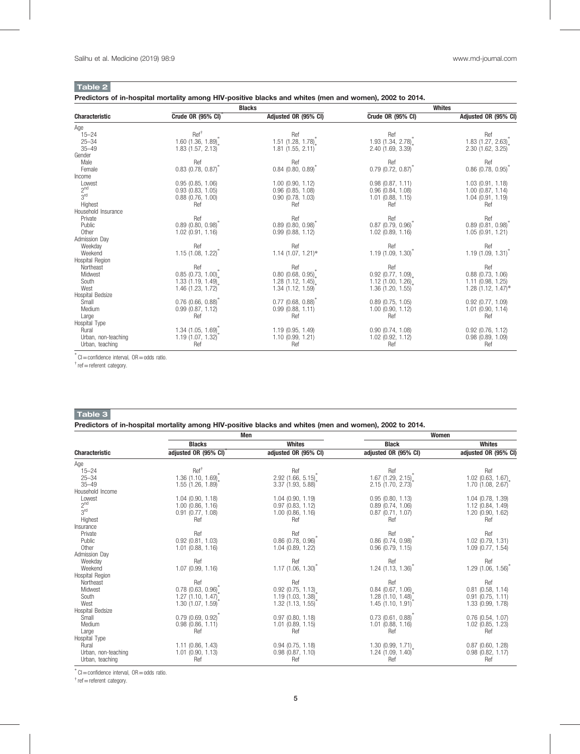Table 2

Predictors of in-hospital mortality among HIV-positive blacks and whites (men and women), 2002 to 2014.

| <b>Characteristic</b> | <b>Blacks</b>                    |                                  | <b>Whites</b>                    |                                  |
|-----------------------|----------------------------------|----------------------------------|----------------------------------|----------------------------------|
|                       | Crude OR (95% CI)                | Adjusted OR (95% CI)             | <b>Crude OR (95% CI)</b>         | Adjusted OR (95% CI)             |
| Age                   |                                  |                                  |                                  |                                  |
| $15 - 24$             | Ref <sup>†</sup>                 | Ref                              | Ref                              | Ref                              |
| $25 - 34$             | $1.60$ (1.36, 1.89) <sup>*</sup> | $1.51$ (1.28, 1.78) <sup>*</sup> | 1.93 $(1.34, 2.78)^*$            | $1.83$ (1.27, 2.63)              |
| $35 - 49$             | 1.83(1.57, 2.13)                 | 1.81(1.55, 2.11)                 | 2.40(1.69, 3.39)                 | 2.30 (1.62, 3.25)                |
| Gender                |                                  |                                  |                                  |                                  |
| Male                  | Ref                              | Ref                              | Ref                              | Ref                              |
| Female                | $0.83$ (0.78, 0.87)              | $0.84$ (0.80, 0.89)              | $0.79$ (0.72, 0.87)              | $0.86$ (0.78, 0.95)              |
| Income                |                                  |                                  |                                  |                                  |
| Lowest                | $0.95$ $(0.85, 1.06)$            | $1.00$ (0.90, $1.12$ )           | $0.98$ $(0.87, 1.11)$            | $1.03$ (0.91, 1.18)              |
| 2 <sup>nd</sup>       | $0.93$ $(0.83, 1.05)$            | $0.96$ $(0.85, 1.08)$            | $0.96$ $(0.84, 1.08)$            | $1.00$ (0.87, 1.14)              |
| 3 <sup>rd</sup>       | $0.88$ (0.76, 1.00)              | $0.90$ $(0.78, 1.03)$            | $1.01$ (0.88, 1.15)              | 1.04(0.91, 1.19)                 |
| Highest               | Ref                              | Ref                              | Ref                              | Ref                              |
| Household Insurance   |                                  |                                  |                                  |                                  |
| Private               | Ref                              | Ref                              | Ref                              | Ref                              |
| Public                | $0.89$ (0.80, 0.98)              | $0.89$ (0.80, 0.98)              | $0.87$ (0.79, 0.96) <sup>7</sup> | $0.89$ (0.81, 0.98) <sup>7</sup> |
| Other                 | $1.02$ (0.91, 1.16)              | 0.99(0.88, 1.12)                 | $1.02$ (0.89, 1.16)              | 1.05(0.91, 1.21)                 |
| Admission Day         |                                  |                                  |                                  |                                  |
| Weekday               | Ref                              | Ref                              | Ref                              | Ref                              |
| Weekend               | $1.15$ (1.08, 1.22) <sup>2</sup> | $1.14$ (1.07, 1.21)*             | 1.19(1.09, 1.30)                 | 1.19(1.09, 1.31)                 |
| Hospital Region       |                                  |                                  |                                  |                                  |
| Northeast             | Ref                              | Ref                              | Ref                              | Ref                              |
| Midwest               | $0.85$ (0.73, 1.00)              | $0.80$ (0.68, 0.95)              | $0.92$ (0.77, 1.09)              | $0.88$ $(0.73, 1.06)$            |
| South                 | 1.33(1.19, 1.49)                 | 1.28(1.12, 1.45)                 | 1.12 $(1.00, 1.26)$ .            | $1.11$ (0.98, 1.25)              |
| West                  | 1.46 (1.23, 1.72)                | 1.34 (1.12, 1.59)                | 1.36(1.20, 1.55)                 | $1.28$ (1.12, 1.47)*             |
| Hospital Bedsize      |                                  |                                  |                                  |                                  |
| Small                 | $0.76$ (0.66, 0.88)              | $0.77$ (0.68, 0.88)              | $0.89$ $(0.75, 1.05)$            | $0.92$ (0.77, 1.09)              |
| Medium                | $0.99$ $(0.87, 1.12)$            | 0.99(0.88, 1.11)                 | $1.00$ (0.90, $1.12$ )           | $1.01$ (0.90, 1.14)              |
| Large                 | Ref                              | Ref                              | Ref                              | Ref                              |
| Hospital Type         |                                  |                                  |                                  |                                  |
| Rural                 | $1.34$ (1.05, 1.69)              | 1.19(0.95, 1.49)                 | 0.90(0.74, 1.08)                 | $0.92$ (0.76, 1.12)              |
| Urban, non-teaching   | 1.19(1.07, 1.32)                 | 1.10(0.99, 1.21)                 | $1.02$ (0.92, $1.12$ )           | $0.98$ $(0.89, 1.09)$            |
| Urban, teaching       | Ref                              | Ref                              | Ref                              | Ref                              |

∗ CI=confidence interval, OR=odds ratio.

 $\dagger$  ref = referent category.

#### Table 3

Predictors of in-hospital mortality among HIV-positive blacks and whites (men and women), 2002 to 2014.

|                       | Men                    |                                  | Women                            |                       |
|-----------------------|------------------------|----------------------------------|----------------------------------|-----------------------|
|                       | <b>Blacks</b>          | <b>Whites</b>                    | <b>Black</b>                     | <b>Whites</b>         |
| <b>Characteristic</b> | adjusted OR (95% CI)   | adjusted OR (95% CI)             | adjusted OR (95% CI)             | adjusted OR (95% CI)  |
| Age                   |                        |                                  |                                  |                       |
| $15 - 24$             | Ref <sup>†</sup>       | Ref                              | Ref                              | Ref                   |
| $25 - 34$             | $1.36$ (1.10, 1.69)    | $2.92$ (1.66, 5.15) <sup>*</sup> | $1.67$ (1.29, 2.15) <sup>*</sup> | $1.02$ (0.63, 1.67)   |
| $35 - 49$             | $1.55$ (1.26, 1.89)    | 3.37 (1.93, 5.88)                | $2.15$ (1.70, 2.73)              | $1.70$ (1.08, 2.67)   |
| Household Income      |                        |                                  |                                  |                       |
| Lowest                | $1.04$ $(0.90, 1.18)$  | 1.04(0.90, 1.19)                 | 0.95(0.80, 1.13)                 | $1.04$ (0.78, 1.39)   |
| 2 <sup>nd</sup>       | $1.00$ (0.86, $1.16$ ) | 0.97(0.83, 1.12)                 | $0.89$ $(0.74, 1.06)$            | 1.12 (0.84, 1.49)     |
| 3 <sup>rd</sup>       | $0.91$ $(0.77, 1.08)$  | $1.00$ (0.86, $1.16$ )           | $0.87$ (0.71, 1.07)              | 1.20(0.90, 1.62)      |
| Highest               | Ref                    | Ref                              | Ref                              | Ref                   |
| Insurance             |                        |                                  |                                  |                       |
| Private               | Ref                    | Ref                              | Ref                              | Ref                   |
| Public                | $0.92$ $(0.81, 1.03)$  | $0.86$ (0.78, 0.96)              | $0.86$ $(0.74, 0.98)$            | $1.02$ (0.79, 1.31)   |
| Other                 | $1.01$ $(0.88, 1.16)$  | $1.04$ (0.89, 1.22)              | $0.96$ $(0.79, 1.15)$            | $1.09$ (0.77, 1.54)   |
| <b>Admission Day</b>  |                        |                                  |                                  |                       |
| Weekday               | Ref                    | Ref                              | Ref                              | Ref                   |
| Weekend               | 1.07(0.99, 1.16)       | $1.17$ (1.06, 1.30) <sup>2</sup> | $1.24$ (1.13, 1.36) <sup>2</sup> | 1.29(1.06, 1.56)      |
| Hospital Region       |                        |                                  |                                  |                       |
| Northeast             | Ref                    | Ref                              | Ref                              | Ref                   |
| Midwest               | $0.78$ (0.63, 0.96)    | $0.92$ (0.75, 1.13)              | $0.84$ (0.67, 1.06)              | $0.81$ $(0.58, 1.14)$ |
| South                 | $1.27$ (1.10, 1.47)    | 1.19(1.03, 1.38)                 | $1.28$ (1.10, 1.48)              | $0.91$ $(0.75, 1.11)$ |
| West                  | 1.30(1.07, 1.59)       | 1.32(1.13, 1.55)                 | 1.45(1.10, 1.91)                 | 1.33 (0.99, 1.78)     |
| Hospital Bedsize      |                        |                                  |                                  |                       |
| Small                 | 0.79(0.69, 0.92)       | 0.97(0.80, 1.18)                 | $0.73$ $(0.61, 0.88)$            | $0.76$ $(0.54, 1.07)$ |
| Medium                | $0.98$ $(0.86, 1.11)$  | $1.01$ $(0.89, 1.15)$            | $1.01$ (0.88, 1.16)              | $1.02$ (0.85, 1.23)   |
| Large                 | Ref                    | Ref                              | Ref                              | Ref                   |
| Hospital Type         |                        |                                  |                                  |                       |
| Rural                 | $1.11$ (0.86, 1.43)    | 0.94(0.75, 1.18)                 | $1.30$ (0.99, 1.71)              | $0.87$ $(0.60, 1.28)$ |
| Urban, non-teaching   | $1.01$ $(0.90, 1.13)$  | $0.98$ $(0.87, 1.10)$            | 1.24(1.09, 1.40)                 | $0.98$ $(0.82, 1.17)$ |
| Urban, teaching       | Ref                    | Ref                              | Ref                              | Ref                   |

∗ CI=confidence interval, OR=odds ratio.

 $\dagger$  ref = referent category.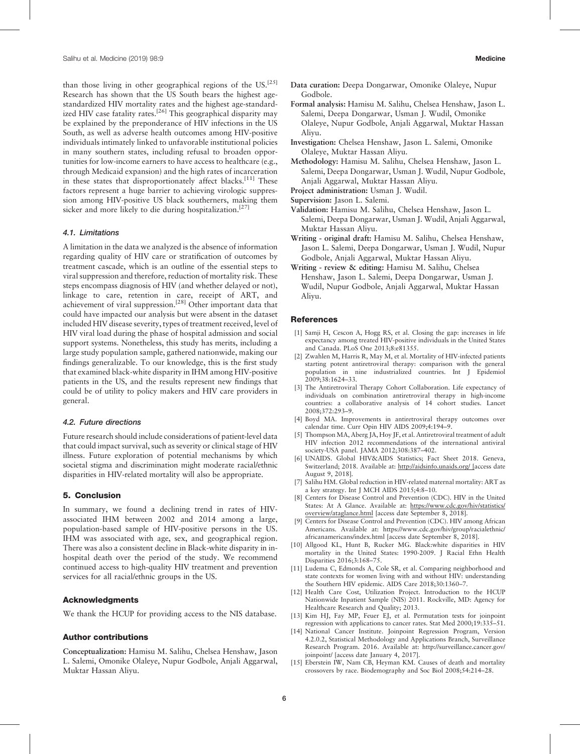than those living in other geographical regions of the US.<sup>[25]</sup> Research has shown that the US South bears the highest agestandardized HIV mortality rates and the highest age-standardized HIV case fatality rates.<sup>[26]</sup> This geographical disparity may be explained by the preponderance of HIV infections in the US South, as well as adverse health outcomes among HIV-positive individuals intimately linked to unfavorable institutional policies in many southern states, including refusal to broaden opportunities for low-income earners to have access to healthcare (e.g., through Medicaid expansion) and the high rates of incarceration in these states that disproportionately affect blacks.<sup>[11]</sup> These factors represent a huge barrier to achieving virologic suppression among HIV-positive US black southerners, making them sicker and more likely to die during hospitalization.<sup>[27]</sup>

#### 4.1. Limitations

A limitation in the data we analyzed is the absence of information regarding quality of HIV care or stratification of outcomes by treatment cascade, which is an outline of the essential steps to viral suppression and therefore, reduction of mortality risk. These steps encompass diagnosis of HIV (and whether delayed or not), linkage to care, retention in care, receipt of ART, and achievement of viral suppression.<sup>[28]</sup> Other important data that could have impacted our analysis but were absent in the dataset included HIV disease severity, types of treatment received, level of HIV viral load during the phase of hospital admission and social support systems. Nonetheless, this study has merits, including a large study population sample, gathered nationwide, making our findings generalizable. To our knowledge, this is the first study that examined black-white disparity in IHM among HIV-positive patients in the US, and the results represent new findings that could be of utility to policy makers and HIV care providers in general.

#### 4.2. Future directions

Future research should include considerations of patient-level data that could impact survival, such as severity or clinical stage of HIV illness. Future exploration of potential mechanisms by which societal stigma and discrimination might moderate racial/ethnic disparities in HIV-related mortality will also be appropriate.

#### 5. Conclusion

In summary, we found a declining trend in rates of HIVassociated IHM between 2002 and 2014 among a large, population-based sample of HIV-positive persons in the US. IHM was associated with age, sex, and geographical region. There was also a consistent decline in Black-white disparity in inhospital death over the period of the study. We recommend continued access to high-quality HIV treatment and prevention services for all racial/ethnic groups in the US.

#### Acknowledgments

We thank the HCUP for providing access to the NIS database.

#### Author contributions

Conceptualization: Hamisu M. Salihu, Chelsea Henshaw, Jason L. Salemi, Omonike Olaleye, Nupur Godbole, Anjali Aggarwal, Muktar Hassan Aliyu.

- Data curation: Deepa Dongarwar, Omonike Olaleye, Nupur Godbole.
- Formal analysis: Hamisu M. Salihu, Chelsea Henshaw, Jason L. Salemi, Deepa Dongarwar, Usman J. Wudil, Omonike Olaleye, Nupur Godbole, Anjali Aggarwal, Muktar Hassan Aliyu.
- Investigation: Chelsea Henshaw, Jason L. Salemi, Omonike Olaleye, Muktar Hassan Aliyu.
- Methodology: Hamisu M. Salihu, Chelsea Henshaw, Jason L. Salemi, Deepa Dongarwar, Usman J. Wudil, Nupur Godbole, Anjali Aggarwal, Muktar Hassan Aliyu.
- Project administration: Usman J. Wudil.
- Supervision: Jason L. Salemi.
- Validation: Hamisu M. Salihu, Chelsea Henshaw, Jason L. Salemi, Deepa Dongarwar, Usman J. Wudil, Anjali Aggarwal, Muktar Hassan Aliyu.
- Writing original draft: Hamisu M. Salihu, Chelsea Henshaw, Jason L. Salemi, Deepa Dongarwar, Usman J. Wudil, Nupur Godbole, Anjali Aggarwal, Muktar Hassan Aliyu.
- Writing review & editing: Hamisu M. Salihu, Chelsea Henshaw, Jason L. Salemi, Deepa Dongarwar, Usman J. Wudil, Nupur Godbole, Anjali Aggarwal, Muktar Hassan Aliyu.

#### **References**

- [1] Samji H, Cescon A, Hogg RS, et al. Closing the gap: increases in life expectancy among treated HIV-positive individuals in the United States and Canada. PLoS One 2013;8:e81355.
- [2] Zwahlen M, Harris R, May M, et al. Mortality of HIV-infected patients starting potent antiretroviral therapy: comparison with the general population in nine industrialized countries. Int J Epidemiol 2009;38:1624–33.
- [3] The Antiretroviral Therapy Cohort Collaboration. Life expectancy of individuals on combination antiretroviral therapy in high-income countries: a collaborative analysis of 14 cohort studies. Lancet 2008;372:293–9.
- [4] Boyd MA. Improvements in antiretroviral therapy outcomes over calendar time. Curr Opin HIV AIDS 2009;4:194–9.
- [5] Thompson MA, Aberg JA, Hoy JF, et al. Antiretroviral treatment of adult HIV infection 2012 recommendations of the international antiviral society-USA panel. JAMA 2012;308:387–402.
- [6] UNAIDS. Global HIV&AIDS Statistics; Fact Sheet 2018. Geneva, Switzerland; 2018. Available at: <http://aidsinfo.unaids.org/> [access date August 9, 2018].
- [7] Salihu HM. Global reduction in HIV-related maternal mortality: ART as a key strategy. Int J MCH AIDS 2015;4:8–10.
- [8] Centers for Disease Control and Prevention (CDC). HIV in the United States: At A Glance. Available at: [https://www.cdc.gov/hiv/statistics/](https://www.cdc.gov/hiv/statistics/overview/ataglance.html) overview/ataglance.html [access date September 8, 2018].
- [9] Centers for Disease Control and Prevention (CDC). HIV among African Americans. Available at: [https://www.cdc.gov/hiv/group/racialethnic/](https://www.cdc.gov/hiv/group/racialethnic/africanamericans/index.html) [africanamericans/index.html](https://www.cdc.gov/hiv/group/racialethnic/africanamericans/index.html) [access date September 8, 2018].
- [10] Allgood KL, Hunt B, Rucker MG. Black:white disparities in HIV mortality in the United States: 1990-2009. J Racial Ethn Health Disparities 2016;3:168–75.
- [11] Ludema C, Edmonds A, Cole SR, et al. Comparing neighborhood and state contexts for women living with and without HIV: understanding the Southern HIV epidemic. AIDS Care 2018;30:1360–7.
- [12] Health Care Cost, Utilization Project. Introduction to the HCUP Nationwide Inpatient Sample (NIS) 2011. Rockville, MD: Agency for Healthcare Research and Quality; 2013.
- [13] Kim HJ, Fay MP, Feuer EJ, et al. Permutation tests for joinpoint regression with applications to cancer rates. Stat Med 2000;19:335–51.
- [14] National Cancer Institute. Joinpoint Regression Program, Version 4.2.0.2, Statistical Methodology and Applications Branch, Surveillance Research Program. 2016. Available at: [http://surveillance.cancer.gov/](http://surveillance.cancer.gov/joinpoint/) [joinpoint/](http://surveillance.cancer.gov/joinpoint/) [access date January 4, 2017].
- [15] Eberstein IW, Nam CB, Heyman KM. Causes of death and mortality crossovers by race. Biodemography and Soc Biol 2008;54:214–28.